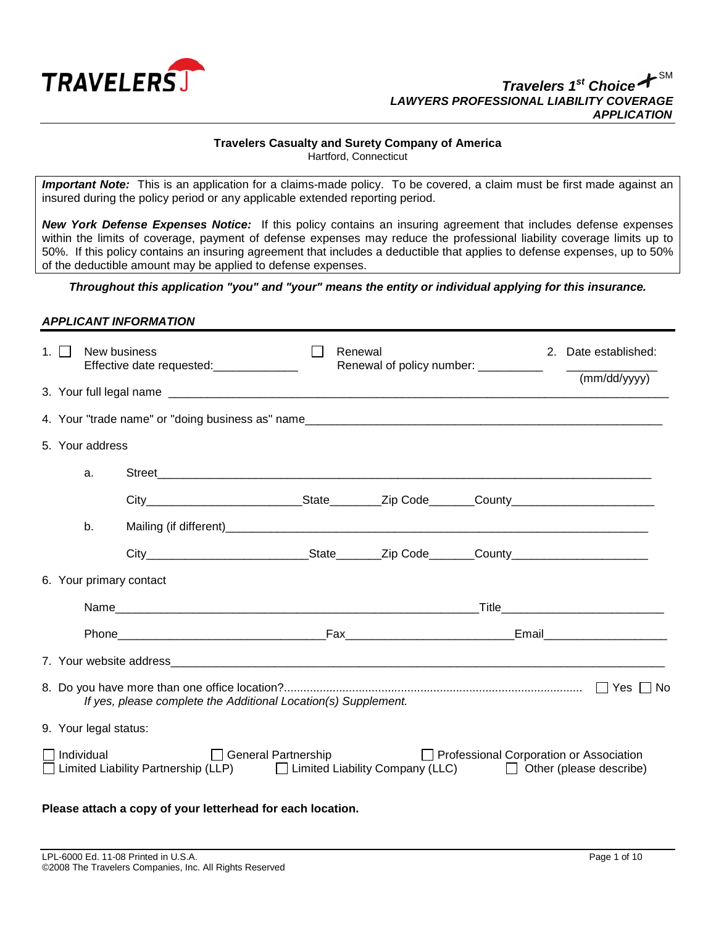

#### *Travelers 1st Choice* SM *LAWYERS PROFESSIONAL LIABILITY COVERAGE APPLICATION*

## **Travelers Casualty and Surety Company of America**

Hartford, Connecticut

*Important Note:* This is an application for a claims-made policy. To be covered, a claim must be first made against an insured during the policy period or any applicable extended reporting period.

*New York Defense Expenses Notice:*If this policy contains an insuring agreement that includes defense expenses within the limits of coverage, payment of defense expenses may reduce the professional liability coverage limits up to 50%. If this policy contains an insuring agreement that includes a deductible that applies to defense expenses, up to 50% of the deductible amount may be applied to defense expenses.

### *Throughout this application "you" and "your" means the entity or individual applying for this insurance.*

### *APPLICANT INFORMATION*

| $1 \mid$                                                                                                                                                                                | New business          | Effective date requested: ______________ |  | Renewal<br>Renewal of policy number: __________ |  |  | 2. Date established:<br><u> The Communication of the Communication of</u> |              |
|-----------------------------------------------------------------------------------------------------------------------------------------------------------------------------------------|-----------------------|------------------------------------------|--|-------------------------------------------------|--|--|---------------------------------------------------------------------------|--------------|
|                                                                                                                                                                                         |                       |                                          |  |                                                 |  |  |                                                                           | (mm/dd/yyyy) |
|                                                                                                                                                                                         |                       |                                          |  |                                                 |  |  |                                                                           |              |
|                                                                                                                                                                                         | 5. Your address       |                                          |  |                                                 |  |  |                                                                           |              |
|                                                                                                                                                                                         | a.                    |                                          |  |                                                 |  |  |                                                                           |              |
|                                                                                                                                                                                         |                       |                                          |  |                                                 |  |  |                                                                           |              |
|                                                                                                                                                                                         | b.                    |                                          |  |                                                 |  |  |                                                                           |              |
|                                                                                                                                                                                         |                       |                                          |  |                                                 |  |  |                                                                           |              |
|                                                                                                                                                                                         |                       | 6. Your primary contact                  |  |                                                 |  |  |                                                                           |              |
|                                                                                                                                                                                         |                       |                                          |  |                                                 |  |  |                                                                           |              |
|                                                                                                                                                                                         |                       |                                          |  |                                                 |  |  |                                                                           |              |
|                                                                                                                                                                                         |                       |                                          |  |                                                 |  |  |                                                                           |              |
| If yes, please complete the Additional Location(s) Supplement.                                                                                                                          |                       |                                          |  |                                                 |  |  |                                                                           |              |
|                                                                                                                                                                                         | 9. Your legal status: |                                          |  |                                                 |  |  |                                                                           |              |
| □ General Partnership<br>□ Professional Corporation or Association<br>∃ Individual<br>□ Limited Liability Partnership (LLP) □ Limited Liability Company (LLC) □ Other (please describe) |                       |                                          |  |                                                 |  |  |                                                                           |              |
| Please attach a copy of your letterhead for each location.                                                                                                                              |                       |                                          |  |                                                 |  |  |                                                                           |              |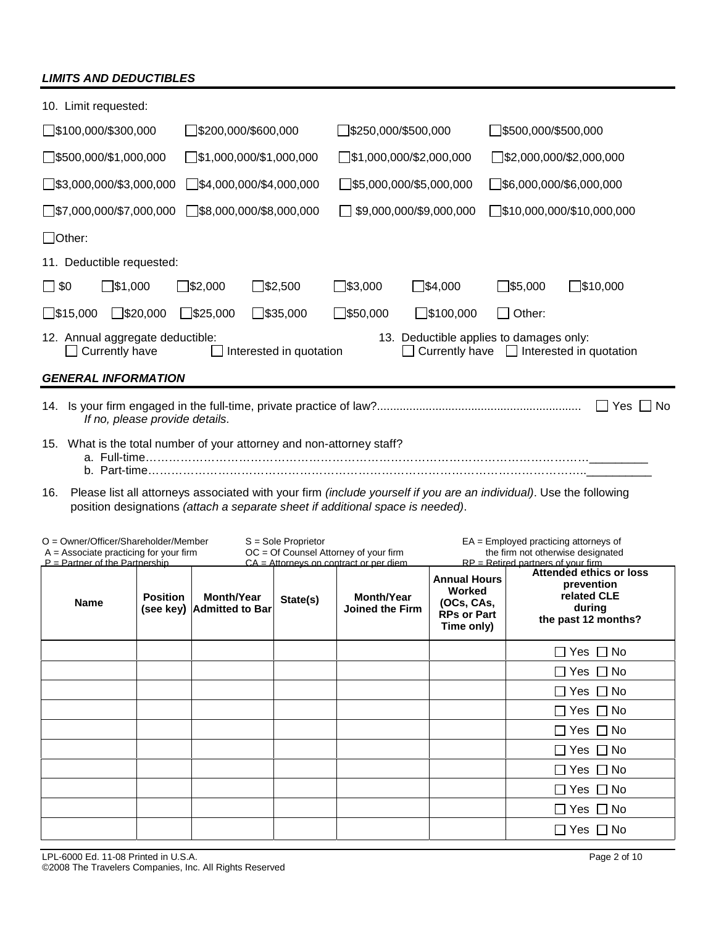# *LIMITS AND DEDUCTIBLES*

| 10. Limit requested:                                                                                                                                                                                        |                                                                                                                                                                                  |                                                |                       |                                                                                   |                                                                                 |                                                                                                                      |                                                                                       |  |
|-------------------------------------------------------------------------------------------------------------------------------------------------------------------------------------------------------------|----------------------------------------------------------------------------------------------------------------------------------------------------------------------------------|------------------------------------------------|-----------------------|-----------------------------------------------------------------------------------|---------------------------------------------------------------------------------|----------------------------------------------------------------------------------------------------------------------|---------------------------------------------------------------------------------------|--|
| $\Box$ \$100,000/\$300,000                                                                                                                                                                                  |                                                                                                                                                                                  | ]\$200,000/\$600,000                           |                       | ]\$250,000/\$500,000                                                              |                                                                                 | $\Box$ \$500,000/\$500,000                                                                                           |                                                                                       |  |
| $\Box$ \$500,000/\$1,000,000                                                                                                                                                                                |                                                                                                                                                                                  | $\Box$ \$1,000,000/\$1,000,000                 |                       | $\Box$ \$1,000,000/\$2,000,000                                                    |                                                                                 | $\Box$ \$2,000,000/\$2,000,000                                                                                       |                                                                                       |  |
| $\square$ \$3,000,000/\$3,000,000                                                                                                                                                                           |                                                                                                                                                                                  | $\exists$ \$4,000,000/\$4,000,000              |                       | $\Box$ \$5,000,000/\$5,000,000                                                    |                                                                                 | $\square$ \$6,000,000/\$6,000,000                                                                                    |                                                                                       |  |
| $\Box$ \$7,000,000/\$7,000,000                                                                                                                                                                              |                                                                                                                                                                                  | $\Box$ \$8,000,000/\$8,000,000                 |                       | \$9,000,000/\$9,000,000                                                           |                                                                                 |                                                                                                                      | $\square$ \$10,000,000/\$10,000,000                                                   |  |
| $\Box$ Other:                                                                                                                                                                                               |                                                                                                                                                                                  |                                                |                       |                                                                                   |                                                                                 |                                                                                                                      |                                                                                       |  |
| 11. Deductible requested:                                                                                                                                                                                   |                                                                                                                                                                                  |                                                |                       |                                                                                   |                                                                                 |                                                                                                                      |                                                                                       |  |
| ]\$1,000<br>$\square$ \$0                                                                                                                                                                                   |                                                                                                                                                                                  | ]\$2,000                                       | $\square$ \$2,500     | $\square$ \$3,000                                                                 | $\Box$ \$4,000                                                                  | $\square$ \$5,000                                                                                                    | ∃\$10,000                                                                             |  |
| $\square$ \$15,000                                                                                                                                                                                          | $\square$ \$20,000                                                                                                                                                               | $\square$ \$25,000                             | $\square$ \$35,000    | $\square$ \$50,000                                                                | $\square$ \$100,000                                                             | $\Box$ Other:                                                                                                        |                                                                                       |  |
|                                                                                                                                                                                                             | 12. Annual aggregate deductible:<br>13. Deductible applies to damages only:<br>Interested in quotation<br>Currently have $\Box$ Interested in quotation<br>$\Box$ Currently have |                                                |                       |                                                                                   |                                                                                 |                                                                                                                      |                                                                                       |  |
| <b>GENERAL INFORMATION</b>                                                                                                                                                                                  |                                                                                                                                                                                  |                                                |                       |                                                                                   |                                                                                 |                                                                                                                      |                                                                                       |  |
|                                                                                                                                                                                                             | If no, please provide details.                                                                                                                                                   |                                                |                       |                                                                                   |                                                                                 |                                                                                                                      | Yes  No                                                                               |  |
| 15. What is the total number of your attorney and non-attorney staff?                                                                                                                                       |                                                                                                                                                                                  |                                                |                       |                                                                                   |                                                                                 |                                                                                                                      |                                                                                       |  |
| Please list all attorneys associated with your firm (include yourself if you are an individual). Use the following<br>16.<br>position designations (attach a separate sheet if additional space is needed). |                                                                                                                                                                                  |                                                |                       |                                                                                   |                                                                                 |                                                                                                                      |                                                                                       |  |
| $O =$ Owner/Officer/Shareholder/Member<br>$A =$ Associate practicing for your firm<br>$P =$ Partner of the Partnership                                                                                      |                                                                                                                                                                                  |                                                | $S =$ Sole Proprietor | OC = Of Counsel Attorney of your firm<br>$CA = Attornevs$ on contract or per diem |                                                                                 | $EA =$ Employed practicing attorneys of<br>the firm not otherwise designated<br>$RP = Retired partners of your firm$ |                                                                                       |  |
| <b>Name</b>                                                                                                                                                                                                 | <b>Position</b>                                                                                                                                                                  | <b>Month/Year</b><br>(see key) Admitted to Bar | State(s)              | <b>Month/Year</b><br><b>Joined the Firm</b>                                       | <b>Annual Hours</b><br>Worked<br>(OCs, CAs,<br><b>RPs or Part</b><br>Time only) |                                                                                                                      | Attended ethics or loss<br>prevention<br>related CLE<br>during<br>the past 12 months? |  |
|                                                                                                                                                                                                             |                                                                                                                                                                                  |                                                |                       |                                                                                   |                                                                                 |                                                                                                                      | Yes $\Box$ No                                                                         |  |
|                                                                                                                                                                                                             |                                                                                                                                                                                  |                                                |                       |                                                                                   |                                                                                 |                                                                                                                      | Yes □ No                                                                              |  |
|                                                                                                                                                                                                             |                                                                                                                                                                                  |                                                |                       |                                                                                   |                                                                                 |                                                                                                                      | $\Box$ Yes $\Box$ No                                                                  |  |

■ Yes ■ No □ Yes □ No □ Yes □ No □ Yes □ No □ Yes □ No □ Yes □ No □ Yes □ No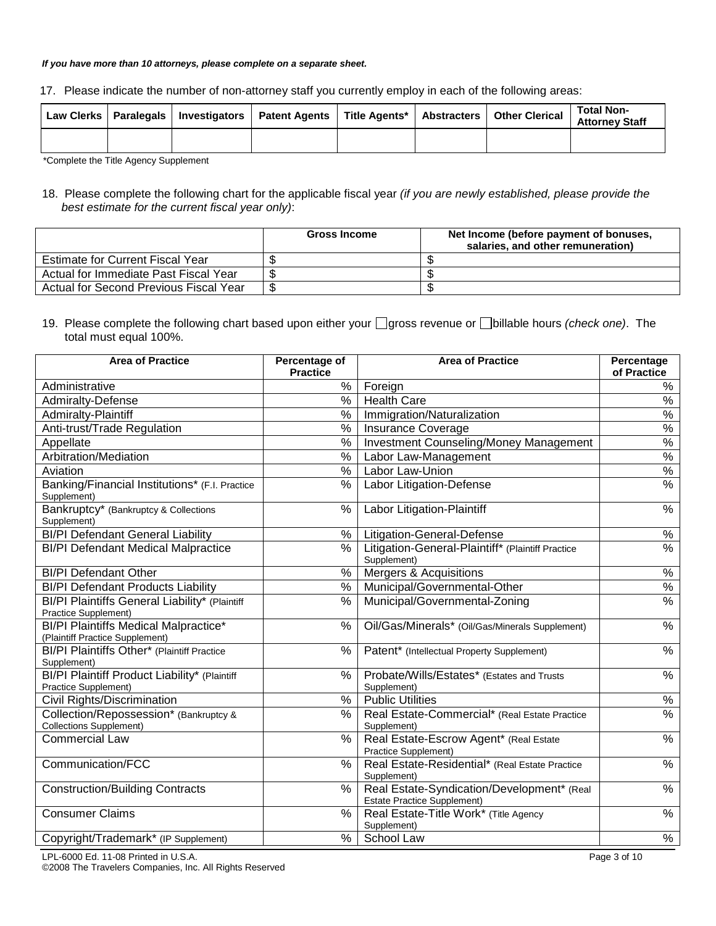#### *If you have more than 10 attorneys, please complete on a separate sheet.*

| 17. Please indicate the number of non-attorney staff you currently employ in each of the following areas: |  |  |  |
|-----------------------------------------------------------------------------------------------------------|--|--|--|
|                                                                                                           |  |  |  |

|  | Law Clerks   Paralegals   Investigators   Patent Agents   Title Agents*   Abstracters   Other Clerical |  | <b>Total Non-</b><br><b>Attorney Staff</b> |
|--|--------------------------------------------------------------------------------------------------------|--|--------------------------------------------|
|  |                                                                                                        |  |                                            |

\*Complete the Title Agency Supplement

18. Please complete the following chart for the applicable fiscal year *(if you are newly established, please provide the best estimate for the current fiscal year only)*:

|                                         | <b>Gross Income</b> | Net Income (before payment of bonuses,<br>salaries, and other remuneration) |
|-----------------------------------------|---------------------|-----------------------------------------------------------------------------|
| <b>Estimate for Current Fiscal Year</b> |                     |                                                                             |
| Actual for Immediate Past Fiscal Year   |                     |                                                                             |
| Actual for Second Previous Fiscal Year  |                     |                                                                             |

19. Please complete the following chart based upon either your gross revenue or **billable hours** *(check one)*. The total must equal 100%.

| <b>Area of Practice</b>                                                         | Percentage of<br><b>Practice</b> | <b>Area of Practice</b>                                                          | <b>Percentage</b><br>of Practice |
|---------------------------------------------------------------------------------|----------------------------------|----------------------------------------------------------------------------------|----------------------------------|
| Administrative                                                                  | %                                | Foreign                                                                          | %                                |
| Admiralty-Defense                                                               | $\frac{9}{6}$                    | <b>Health Care</b>                                                               | $\frac{9}{6}$                    |
| Admiralty-Plaintiff                                                             | $\frac{1}{2}$                    | Immigration/Naturalization                                                       | $\%$                             |
| Anti-trust/Trade Regulation                                                     | %                                | <b>Insurance Coverage</b>                                                        | $\frac{0}{0}$                    |
| Appellate                                                                       | $\frac{1}{2}$                    | <b>Investment Counseling/Money Management</b>                                    | $\frac{1}{2}$                    |
| Arbitration/Mediation                                                           | $\%$                             | Labor Law-Management                                                             | $\%$                             |
| Aviation                                                                        | %                                | Labor Law-Union                                                                  | $\frac{1}{2}$                    |
| Banking/Financial Institutions* (F.I. Practice<br>Supplement)                   | %                                | Labor Litigation-Defense                                                         | $\frac{9}{6}$                    |
| Bankruptcy* (Bankruptcy & Collections<br>Supplement)                            | %                                | Labor Litigation-Plaintiff                                                       | $\%$                             |
| <b>BI/PI Defendant General Liability</b>                                        | %                                | Litigation-General-Defense                                                       | $\frac{8}{6}$                    |
| <b>BI/PI Defendant Medical Malpractice</b>                                      | $\%$                             | Litigation-General-Plaintiff* (Plaintiff Practice<br>Supplement)                 | $\frac{1}{2}$                    |
| <b>BI/PI</b> Defendant Other                                                    | %                                | Mergers & Acquisitions                                                           | $\frac{9}{6}$                    |
| <b>BI/PI Defendant Products Liability</b>                                       | %                                | Municipal/Governmental-Other                                                     | $\frac{9}{6}$                    |
| BI/PI Plaintiffs General Liability* (Plaintiff<br>Practice Supplement)          | %                                | Municipal/Governmental-Zoning                                                    | $\frac{1}{2}$                    |
| <b>BI/PI Plaintiffs Medical Malpractice*</b><br>(Plaintiff Practice Supplement) | %                                | Oil/Gas/Minerals* (Oil/Gas/Minerals Supplement)                                  | $\%$                             |
| BI/PI Plaintiffs Other* (Plaintiff Practice<br>Supplement)                      | $\%$                             | Patent* (Intellectual Property Supplement)                                       | $\frac{1}{2}$                    |
| BI/PI Plaintiff Product Liability* (Plaintiff<br>Practice Supplement)           | %                                | Probate/Wills/Estates* (Estates and Trusts<br>Supplement)                        | $\%$                             |
| Civil Rights/Discrimination                                                     | %                                | <b>Public Utilities</b>                                                          | $\%$                             |
| Collection/Repossession* (Bankruptcy &<br><b>Collections Supplement)</b>        | %                                | Real Estate-Commercial* (Real Estate Practice<br>Supplement)                     | $\frac{1}{2}$                    |
| <b>Commercial Law</b>                                                           | %                                | Real Estate-Escrow Agent* (Real Estate<br>Practice Supplement)                   | %                                |
| Communication/FCC                                                               | $\%$                             | Real Estate-Residential* (Real Estate Practice<br>Supplement)                    | $\%$                             |
| <b>Construction/Building Contracts</b>                                          | $\frac{0}{0}$                    | Real Estate-Syndication/Development* (Real<br><b>Estate Practice Supplement)</b> | $\frac{1}{2}$                    |
| <b>Consumer Claims</b>                                                          | %                                | Real Estate-Title Work* (Title Agency<br>Supplement)                             | $\%$                             |
| Copyright/Trademark* (IP Supplement)                                            | %                                | School Law                                                                       | $\%$                             |

LPL-6000 Ed. 11-08 Printed in U.S.A. Page 3 of 10 ©2008 The Travelers Companies, Inc. All Rights Reserved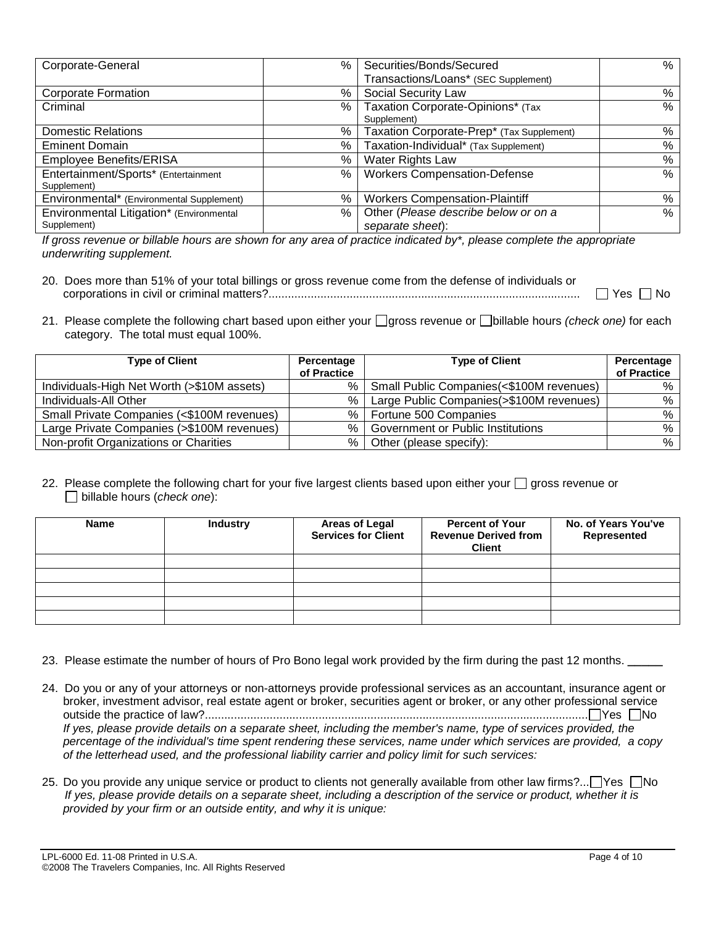| Corporate-General                         | $\%$ | Securities/Bonds/Secured                  | %    |
|-------------------------------------------|------|-------------------------------------------|------|
|                                           |      | Transactions/Loans* (SEC Supplement)      |      |
| <b>Corporate Formation</b>                | %    | Social Security Law                       | %    |
| Criminal                                  | %    | Taxation Corporate-Opinions* (Tax         | %    |
|                                           |      | Supplement)                               |      |
| <b>Domestic Relations</b>                 | %    | Taxation Corporate-Prep* (Tax Supplement) | %    |
| <b>Eminent Domain</b>                     | %    | Taxation-Individual* (Tax Supplement)     | %    |
| Employee Benefits/ERISA                   | %    | Water Rights Law                          | %    |
| Entertainment/Sports* (Entertainment      | $\%$ | <b>Workers Compensation-Defense</b>       | %    |
| Supplement)                               |      |                                           |      |
| Environmental* (Environmental Supplement) | %    | <b>Workers Compensation-Plaintiff</b>     | %    |
| Environmental Litigation* (Environmental  | $\%$ | Other (Please describe below or on a      | $\%$ |
| Supplement)                               |      | separate sheet):                          |      |

*If gross revenue or billable hours are shown for any area of practice indicated by\*, please complete the appropriate underwriting supplement.* 

| 20. Does more than 51% of your total billings or gross revenue come from the defense of individuals or |                      |
|--------------------------------------------------------------------------------------------------------|----------------------|
|                                                                                                        | $\Box$ Yes $\Box$ No |

21. Please complete the following chart based upon either your  $\Box$  gross revenue or  $\Box$ billable hours *(check one)* for each category. The total must equal 100%.

| <b>Type of Client</b>                      | Percentage  | <b>Type of Client</b>                     | Percentage  |
|--------------------------------------------|-------------|-------------------------------------------|-------------|
|                                            | of Practice |                                           | of Practice |
| Individuals-High Net Worth (>\$10M assets) | %           | Small Public Companies (<\$100M revenues) | %           |
| Individuals-All Other                      | %           | Large Public Companies(>\$100M revenues)  | %           |
| Small Private Companies (<\$100M revenues) | %           | Fortune 500 Companies                     | %           |
| Large Private Companies (>\$100M revenues) | %           | <b>Government or Public Institutions</b>  | %           |
| Non-profit Organizations or Charities      | %           | Other (please specify):                   | %           |

### 22. Please complete the following chart for your five largest clients based upon either your  $\Box$  gross revenue or billable hours (*check one*):

| <b>Name</b> | <b>Industry</b> | <b>Areas of Legal</b><br><b>Services for Client</b> | <b>Percent of Your</b><br><b>Revenue Derived from</b><br><b>Client</b> | No. of Years You've<br>Represented |
|-------------|-----------------|-----------------------------------------------------|------------------------------------------------------------------------|------------------------------------|
|             |                 |                                                     |                                                                        |                                    |
|             |                 |                                                     |                                                                        |                                    |
|             |                 |                                                     |                                                                        |                                    |
|             |                 |                                                     |                                                                        |                                    |
|             |                 |                                                     |                                                                        |                                    |

23. Please estimate the number of hours of Pro Bono legal work provided by the firm during the past 12 months. **\_\_\_\_\_**

- 24. Do you or any of your attorneys or non-attorneys provide professional services as an accountant, insurance agent or broker, investment advisor, real estate agent or broker, securities agent or broker, or any other professional service outside the practice of law?...................................................................................................................... Yes No *If yes, please provide details on a separate sheet, including the member's name, type of services provided, the percentage of the individual's time spent rendering these services, name under which services are provided, a copy of the letterhead used, and the professional liability carrier and policy limit for such services:*
- 25. Do you provide any unique service or product to clients not generally available from other law firms?... $\Box$ Yes  $\Box$ No *If yes, please provide details on a separate sheet, including a description of the service or product, whether it is provided by your firm or an outside entity, and why it is unique:*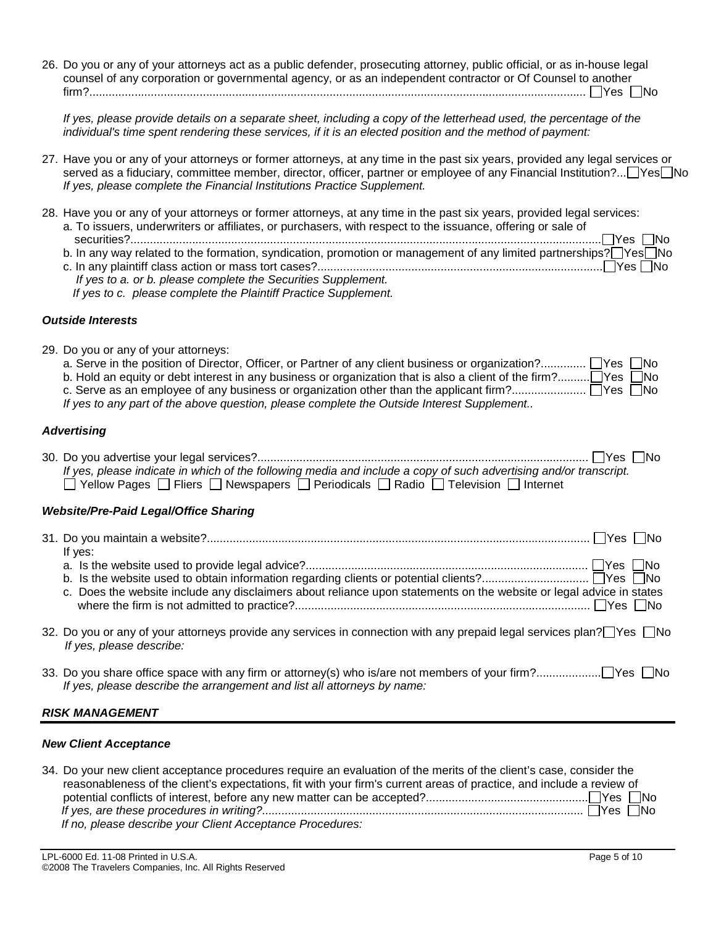26. Do you or any of your attorneys act as a public defender, prosecuting attorney, public official, or as in-house legal counsel of any corporation or governmental agency, or as an independent contractor or Of Counsel to another firm?......................................................................................................................................................... Yes No

If yes, please provide details on a separate sheet, including a copy of the letterhead used, the percentage of the *individual's time spent rendering these services, if it is an elected position and the method of payment:* 

27. Have you or any of your attorneys or former attorneys, at any time in the past six years, provided any legal services or served as a fiduciary, committee member, director, officer, partner or employee of any Financial Institution?... Yes No *If yes, please complete the Financial Institutions Practice Supplement.* 

| 28. Have you or any of your attorneys or former attorneys, at any time in the past six years, provided legal services:<br>a. To issuers, underwriters or affiliates, or purchasers, with respect to the issuance, offering or sale of<br>$\exists$ Yes $\Box$ No<br>b. In any way related to the formation, syndication, promotion or management of any limited partnerships? Nes No<br>If yes to a. or b. please complete the Securities Supplement.<br>If yes to c. please complete the Plaintiff Practice Supplement. |
|--------------------------------------------------------------------------------------------------------------------------------------------------------------------------------------------------------------------------------------------------------------------------------------------------------------------------------------------------------------------------------------------------------------------------------------------------------------------------------------------------------------------------|
| <b>Outside Interests</b>                                                                                                                                                                                                                                                                                                                                                                                                                                                                                                 |
| 29. Do you or any of your attorneys:<br>a. Serve in the position of Director, Officer, or Partner of any client business or organization? No<br>b. Hold an equity or debt interest in any business or organization that is also a client of the firm?□ Yes □ No<br>If yes to any part of the above question, please complete the Outside Interest Supplement                                                                                                                                                             |
| <b>Advertising</b>                                                                                                                                                                                                                                                                                                                                                                                                                                                                                                       |
| l lYes I lNo<br>If yes, please indicate in which of the following media and include a copy of such advertising and/or transcript.<br>$\Box$ Yellow Pages $\Box$ Fliers $\Box$ Newspapers $\Box$ Periodicals $\Box$ Radio $\Box$ Television $\Box$ Internet                                                                                                                                                                                                                                                               |
| <b>Website/Pre-Paid Legal/Office Sharing</b>                                                                                                                                                                                                                                                                                                                                                                                                                                                                             |

| If yes:                                                                                                              |  |
|----------------------------------------------------------------------------------------------------------------------|--|
|                                                                                                                      |  |
|                                                                                                                      |  |
| c. Does the website include any disclaimers about reliance upon statements on the website or legal advice in states  |  |
|                                                                                                                      |  |
| 32. Do you or any of your attorneys provide any services in connection with any prepaid legal services plan?□Yes □No |  |
| If yes, please describe:                                                                                             |  |
|                                                                                                                      |  |

33. Do you share office space with any firm or attorney(s) who is/are not members of your firm?.................... Yes No *If yes, please describe the arrangement and list all attorneys by name:* 

## *RISK MANAGEMENT*

### *New Client Acceptance*

| 34. Do your new client acceptance procedures require an evaluation of the merits of the client's case, consider the  |
|----------------------------------------------------------------------------------------------------------------------|
| reasonableness of the client's expectations, fit with your firm's current areas of practice, and include a review of |
|                                                                                                                      |
|                                                                                                                      |
| If no, please describe your Client Acceptance Procedures:                                                            |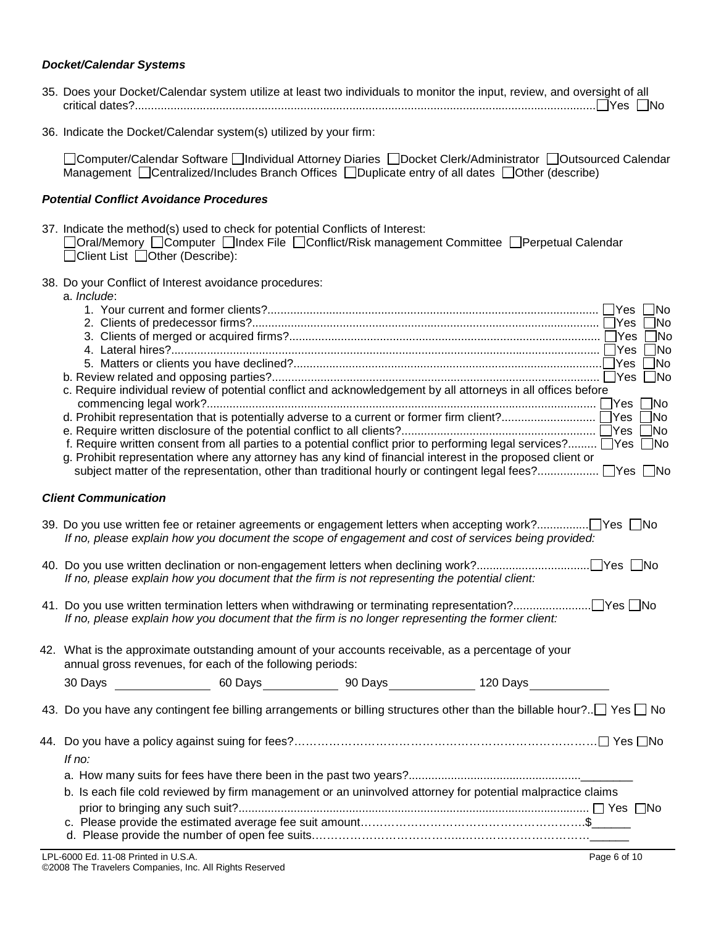### *Docket/Calendar Systems*

| 35. Does your Docket/Calendar system utilize at least two individuals to monitor the input, review, and oversight of all |  |
|--------------------------------------------------------------------------------------------------------------------------|--|
|                                                                                                                          |  |

36. Indicate the Docket/Calendar system(s) utilized by your firm:

□Computer/Calendar Software □Individual Attorney Diaries □Docket Clerk/Administrator □Outsourced Calendar  $\overline{M}$ anagement  $\Box$ Centralized/Includes Branch Offices  $\Box$ Duplicate entry of all dates  $\Box$ Other (describe)

### *Potential Conflict Avoidance Procedures*

37. Indicate the method(s) used to check for potential Conflicts of Interest:

| □Oral/Memory □Computer □Index File □Conflict/Risk management Committee □Perpetual Calendar |  |  |  |
|--------------------------------------------------------------------------------------------|--|--|--|
| □Client List □Other (Describe):                                                            |  |  |  |

38. Do your Conflict of Interest avoidance procedures:

a. *Include*:

|                                                                                                                                   |  | $\neg$ No    |
|-----------------------------------------------------------------------------------------------------------------------------------|--|--------------|
|                                                                                                                                   |  | $\neg$ No    |
|                                                                                                                                   |  | ∃No          |
|                                                                                                                                   |  |              |
|                                                                                                                                   |  |              |
|                                                                                                                                   |  |              |
| c. Require individual review of potential conflict and acknowledgement by all attorneys in all offices before                     |  |              |
|                                                                                                                                   |  |              |
|                                                                                                                                   |  |              |
|                                                                                                                                   |  |              |
| f. Require written consent from all parties to a potential conflict prior to performing legal services? Nes No                    |  |              |
| g. Prohibit representation where any attorney has any kind of financial interest in the proposed client or                        |  |              |
|                                                                                                                                   |  |              |
|                                                                                                                                   |  |              |
| <b>Client Communication</b>                                                                                                       |  |              |
|                                                                                                                                   |  |              |
|                                                                                                                                   |  |              |
| If no, please explain how you document the scope of engagement and cost of services being provided:                               |  |              |
|                                                                                                                                   |  |              |
|                                                                                                                                   |  |              |
| If no, please explain how you document that the firm is not representing the potential client:                                    |  |              |
|                                                                                                                                   |  |              |
|                                                                                                                                   |  |              |
| If no, please explain how you document that the firm is no longer representing the former client:                                 |  |              |
|                                                                                                                                   |  |              |
| 42. What is the approximate outstanding amount of your accounts receivable, as a percentage of your                               |  |              |
| annual gross revenues, for each of the following periods:                                                                         |  |              |
|                                                                                                                                   |  |              |
|                                                                                                                                   |  |              |
| 43. Do you have any contingent fee billing arrangements or billing structures other than the billable hour?. $\Box$ Yes $\Box$ No |  |              |
|                                                                                                                                   |  |              |
|                                                                                                                                   |  |              |
|                                                                                                                                   |  |              |
| If no:                                                                                                                            |  |              |
|                                                                                                                                   |  |              |
| b. Is each file cold reviewed by firm management or an uninvolved attorney for potential malpractice claims                       |  |              |
|                                                                                                                                   |  |              |
|                                                                                                                                   |  |              |
|                                                                                                                                   |  |              |
|                                                                                                                                   |  |              |
| LPL-6000 Ed. 11-08 Printed in U.S.A.                                                                                              |  | Page 6 of 10 |

©2008 The Travelers Companies, Inc. All Rights Reserved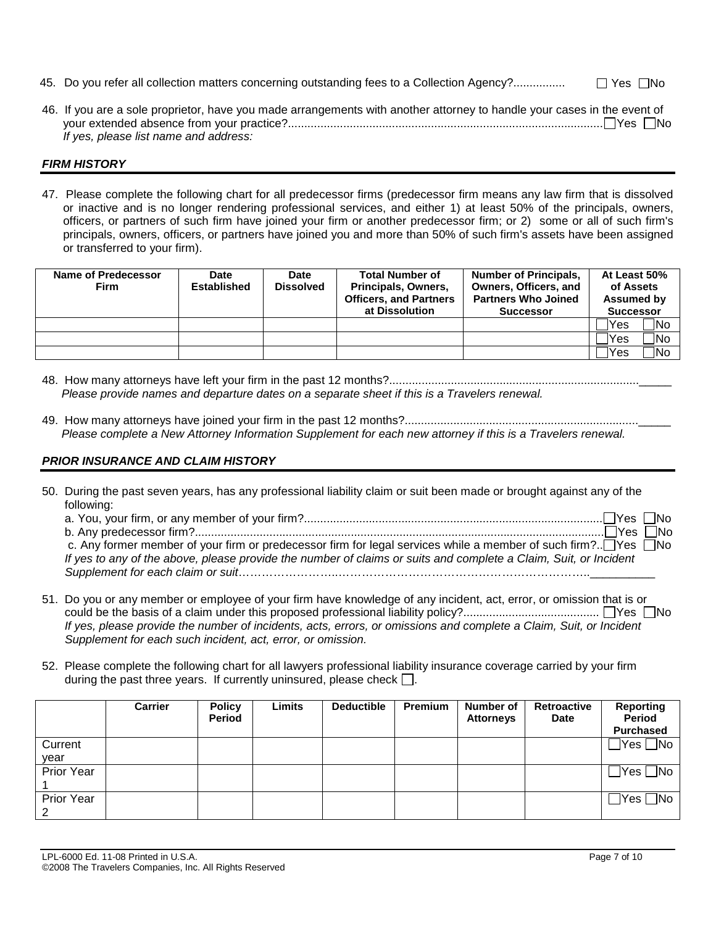45. Do you refer all collection matters concerning outstanding fees to a Collection Agency?................ Yes No

| 46. If you are a sole proprietor, have you made arrangements with another attorney to handle your cases in the event of |  |
|-------------------------------------------------------------------------------------------------------------------------|--|
|                                                                                                                         |  |
| If yes, please list name and address:                                                                                   |  |

### *FIRM HISTORY*

47. Please complete the following chart for all predecessor firms (predecessor firm means any law firm that is dissolved or inactive and is no longer rendering professional services, and either 1) at least 50% of the principals, owners, officers, or partners of such firm have joined your firm or another predecessor firm; or 2) some or all of such firm's principals, owners, officers, or partners have joined you and more than 50% of such firm's assets have been assigned or transferred to your firm).

| Name of Predecessor<br><b>Firm</b> | Date<br><b>Established</b> | <b>Date</b><br><b>Dissolved</b> | <b>Total Number of</b><br>Principals, Owners,<br><b>Officers, and Partners</b> | <b>Number of Principals,</b><br>Owners, Officers, and<br><b>Partners Who Joined</b> | At Least 50%<br>of Assets<br>Assumed by |
|------------------------------------|----------------------------|---------------------------------|--------------------------------------------------------------------------------|-------------------------------------------------------------------------------------|-----------------------------------------|
|                                    |                            |                                 | at Dissolution                                                                 | <b>Successor</b>                                                                    | <b>Successor</b>                        |
|                                    |                            |                                 |                                                                                |                                                                                     | ้ No<br>'Yes                            |
|                                    |                            |                                 |                                                                                |                                                                                     | ∃No<br>Yes                              |
|                                    |                            |                                 |                                                                                |                                                                                     | <b>No</b><br>'Yes                       |

- 48. How many attorneys have left your firm in the past 12 months?.............................................................................\_\_\_\_\_  *Please provide names and departure dates on a separate sheet if this is a Travelers renewal.*
- 49. How many attorneys have joined your firm in the past 12 months?........................................................................\_\_\_\_\_  *Please complete a New Attorney Information Supplement for each new attorney if this is a Travelers renewal.*

## *PRIOR INSURANCE AND CLAIM HISTORY*

50. During the past seven years, has any professional liability claim or suit been made or brought against any of the following:

| ⊓Yes  冂No                                                                                                        |  |
|------------------------------------------------------------------------------------------------------------------|--|
| c. Any former member of your firm or predecessor firm for legal services while a member of such firm? Yes □No    |  |
| If yes to any of the above, please provide the number of claims or suits and complete a Claim, Suit, or Incident |  |
|                                                                                                                  |  |

- 51. Do you or any member or employee of your firm have knowledge of any incident, act, error, or omission that is or could be the basis of a claim under this proposed professional liability policy?.......................................... Yes No *If yes, please provide the number of incidents, acts, errors, or omissions and complete a Claim, Suit, or Incident Supplement for each such incident, act, error, or omission.*
- 52. Please complete the following chart for all lawyers professional liability insurance coverage carried by your firm during the past three years. If currently uninsured, please check  $\Box$ .

|                 | <b>Carrier</b> | <b>Policy</b><br><b>Period</b> | Limits | <b>Deductible</b> | <b>Premium</b> | Number of<br><b>Attorneys</b> | <b>Retroactive</b><br><b>Date</b> | <b>Reporting</b><br><b>Period</b><br><b>Purchased</b> |
|-----------------|----------------|--------------------------------|--------|-------------------|----------------|-------------------------------|-----------------------------------|-------------------------------------------------------|
| Current<br>year |                |                                |        |                   |                |                               |                                   |                                                       |
| Prior Year      |                |                                |        |                   |                |                               |                                   |                                                       |
| Prior Year<br>2 |                |                                |        |                   |                |                               |                                   |                                                       |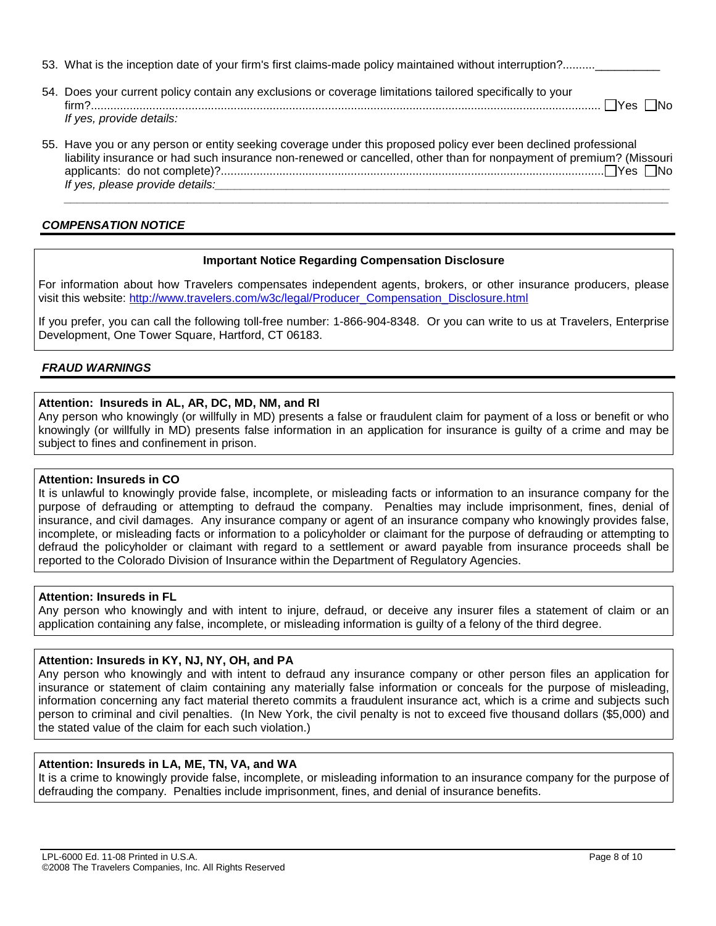- 53. What is the inception date of your firm's first claims-made policy maintained without interruption?.........
- 54. Does your current policy contain any exclusions or coverage limitations tailored specifically to your firm?............................................................................................................................................................. Yes No *If yes, provide details:*
- 55. Have you or any person or entity seeking coverage under this proposed policy ever been declined professional liability insurance or had such insurance non-renewed or cancelled, other than for nonpayment of premium? (Missouri applicants: do not complete)?...................................................................................................................... Yes No *If yes, please provide details:*

 *\_\_\_\_\_\_\_\_\_\_\_\_\_\_\_\_\_\_\_\_\_\_\_\_\_\_\_\_\_\_\_\_\_\_\_\_\_\_\_\_\_\_\_\_\_\_\_\_\_\_\_\_\_\_\_\_\_\_\_\_\_\_\_\_\_\_\_\_\_\_\_\_\_\_\_\_\_\_\_\_\_\_\_\_\_\_\_\_\_\_\_\_\_*

## *COMPENSATION NOTICE*

### **Important Notice Regarding Compensation Disclosure**

For information about how Travelers compensates independent agents, brokers, or other insurance producers, please visit this website: http://www.travelers.com/w3c/legal/Producer\_Compensation\_Disclosure.html

If you prefer, you can call the following toll-free number: 1-866-904-8348. Or you can write to us at Travelers, Enterprise Development, One Tower Square, Hartford, CT 06183.

### *FRAUD WARNINGS*

### **Attention: Insureds in AL, AR, DC, MD, NM, and RI**

Any person who knowingly (or willfully in MD) presents a false or fraudulent claim for payment of a loss or benefit or who knowingly (or willfully in MD) presents false information in an application for insurance is guilty of a crime and may be subject to fines and confinement in prison.

### **Attention: Insureds in CO**

It is unlawful to knowingly provide false, incomplete, or misleading facts or information to an insurance company for the purpose of defrauding or attempting to defraud the company. Penalties may include imprisonment, fines, denial of insurance, and civil damages. Any insurance company or agent of an insurance company who knowingly provides false, incomplete, or misleading facts or information to a policyholder or claimant for the purpose of defrauding or attempting to defraud the policyholder or claimant with regard to a settlement or award payable from insurance proceeds shall be reported to the Colorado Division of Insurance within the Department of Regulatory Agencies.

#### **Attention: Insureds in FL**

Any person who knowingly and with intent to injure, defraud, or deceive any insurer files a statement of claim or an application containing any false, incomplete, or misleading information is guilty of a felony of the third degree.

### **Attention: Insureds in KY, NJ, NY, OH, and PA**

Any person who knowingly and with intent to defraud any insurance company or other person files an application for insurance or statement of claim containing any materially false information or conceals for the purpose of misleading, information concerning any fact material thereto commits a fraudulent insurance act, which is a crime and subjects such person to criminal and civil penalties. (In New York, the civil penalty is not to exceed five thousand dollars (\$5,000) and the stated value of the claim for each such violation.)

### **Attention: Insureds in LA, ME, TN, VA, and WA**

It is a crime to knowingly provide false, incomplete, or misleading information to an insurance company for the purpose of defrauding the company. Penalties include imprisonment, fines, and denial of insurance benefits.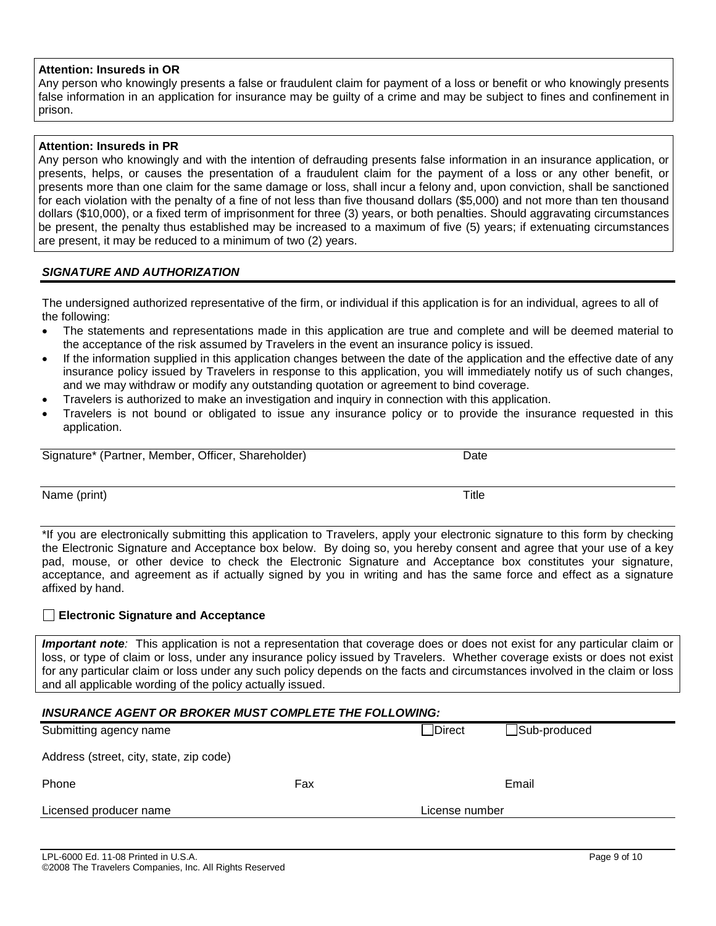### **Attention: Insureds in OR**

Any person who knowingly presents a false or fraudulent claim for payment of a loss or benefit or who knowingly presents false information in an application for insurance may be guilty of a crime and may be subject to fines and confinement in prison.

### **Attention: Insureds in PR**

Any person who knowingly and with the intention of defrauding presents false information in an insurance application, or presents, helps, or causes the presentation of a fraudulent claim for the payment of a loss or any other benefit, or presents more than one claim for the same damage or loss, shall incur a felony and, upon conviction, shall be sanctioned for each violation with the penalty of a fine of not less than five thousand dollars (\$5,000) and not more than ten thousand dollars (\$10,000), or a fixed term of imprisonment for three (3) years, or both penalties. Should aggravating circumstances be present, the penalty thus established may be increased to a maximum of five (5) years; if extenuating circumstances are present, it may be reduced to a minimum of two (2) years.

### *SIGNATURE AND AUTHORIZATION*

The undersigned authorized representative of the firm, or individual if this application is for an individual, agrees to all of the following:

- The statements and representations made in this application are true and complete and will be deemed material to the acceptance of the risk assumed by Travelers in the event an insurance policy is issued.
- If the information supplied in this application changes between the date of the application and the effective date of any insurance policy issued by Travelers in response to this application, you will immediately notify us of such changes, and we may withdraw or modify any outstanding quotation or agreement to bind coverage.
- Travelers is authorized to make an investigation and inquiry in connection with this application.
- Travelers is not bound or obligated to issue any insurance policy or to provide the insurance requested in this application.

| Signature*<br>(Partner.<br>Member. | Officer<br>Shareholder | Jate |
|------------------------------------|------------------------|------|

Name (print) Title

\*If you are electronically submitting this application to Travelers, apply your electronic signature to this form by checking the Electronic Signature and Acceptance box below. By doing so, you hereby consent and agree that your use of a key pad, mouse, or other device to check the Electronic Signature and Acceptance box constitutes your signature, acceptance, and agreement as if actually signed by you in writing and has the same force and effect as a signature affixed by hand.

#### **Electronic Signature and Acceptance**

*Important note:* This application is not a representation that coverage does or does not exist for any particular claim or loss, or type of claim or loss, under any insurance policy issued by Travelers. Whether coverage exists or does not exist for any particular claim or loss under any such policy depends on the facts and circumstances involved in the claim or loss and all applicable wording of the policy actually issued.

| <b>INSURANCE AGENT OR BROKER MUST COMPLETE THE FOLLOWING:</b> |     |                |              |  |  |
|---------------------------------------------------------------|-----|----------------|--------------|--|--|
| Submitting agency name                                        |     | <b>Direct</b>  | Sub-produced |  |  |
| Address (street, city, state, zip code)                       |     |                |              |  |  |
| Phone                                                         | Fax |                | Email        |  |  |
| Licensed producer name                                        |     | License number |              |  |  |
|                                                               |     |                |              |  |  |

LPL-6000 Ed. 11-08 Printed in U.S.A. Page 9 of 10 ©2008 The Travelers Companies, Inc. All Rights Reserved